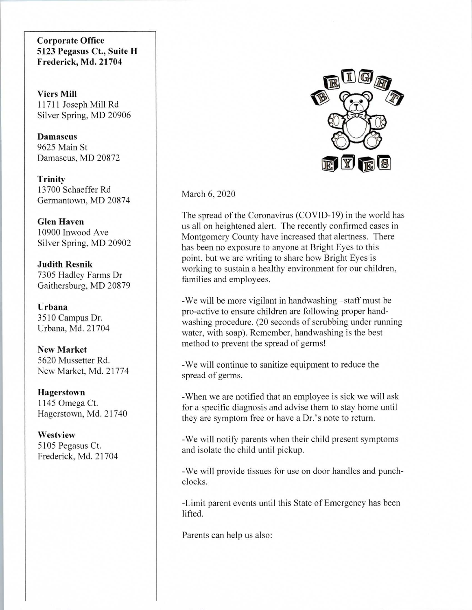**Corporate Office** 5123 Pegasus Ct., Suite H Frederick, Md. 21704

**Viers Mill** 11711 Joseph Mill Rd Silver Spring, MD 20906

**Damascus** 9625 Main St Damascus, MD 20872

**Trinity** 13700 Schaeffer Rd Germantown, MD 20874

**Glen Haven** 10900 Inwood Ave Silver Spring, MD 20902

**Judith Resnik** 7305 Hadley Farms Dr Gaithersburg, MD 20879

Urbana 3510 Campus Dr. Urbana, Md. 21704

**New Market** 5620 Mussetter Rd. New Market, Md. 21774

Hagerstown 1145 Omega Ct. Hagerstown, Md. 21740

Westview 5105 Pegasus Ct. Frederick, Md. 21704



March 6, 2020

The spread of the Coronavirus (COVID-19) in the world has us all on heightened alert. The recently confirmed cases in Montgomery County have increased that alertness. There has been no exposure to anyone at Bright Eyes to this point, but we are writing to share how Bright Eyes is working to sustain a healthy environment for our children, families and employees.

-We will be more vigilant in handwashing -staff must be pro-active to ensure children are following proper handwashing procedure. (20 seconds of scrubbing under running water, with soap). Remember, handwashing is the best method to prevent the spread of germs!

-We will continue to sanitize equipment to reduce the spread of germs.

-When we are notified that an employee is sick we will ask for a specific diagnosis and advise them to stay home until they are symptom free or have a Dr.'s note to return.

-We will notify parents when their child present symptoms and isolate the child until pickup.

-We will provide tissues for use on door handles and punchclocks.

-Limit parent events until this State of Emergency has been lifted.

Parents can help us also: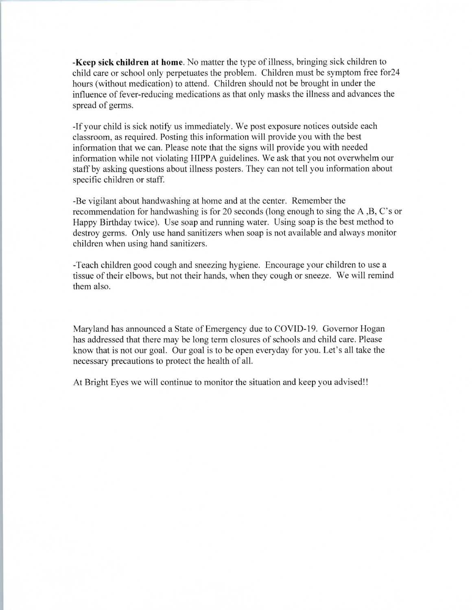-Keep sick children at home. No matter the type of illness, bringing sick children to child care or school only perpetuates the problem. Children must be symptom free for24 hours (without medication) to attend. Children should not be brought in under the influence of fever-reducing medications as that only masks the illness and advances the spread of germs.

-If your child is sick notify us immediately. We post exposure notices outside each classroom, as required. Posting this information will provide you with the best information that we can. Please note that the signs will provide you with needed information while not violating HIPPA guidelines. We ask that you not overwhelm our staff by asking questions about illness posters. They can not tell you information about specific children or staff.

-Be vigilant about handwashing at home and at the center. Remember the recommendation for handwashing is for 20 seconds (long enough to sing the A, B, C's or Happy Birthday twice). Use soap and running water. Using soap is the best method to destroy germs. Only use hand sanitizers when soap is not available and always monitor children when using hand sanitizers.

-Teach children good cough and sneezing hygiene. Encourage your children to use a tissue of their elbows, but not their hands, when they cough or sneeze. We will remind them also.

Maryland has announced a State of Emergency due to COVID-19. Governor Hogan has addressed that there may be long term closures of schools and child care. Please know that is not our goal. Our goal is to be open everyday for you. Let's all take the necessary precautions to protect the health of all.

At Bright Eyes we will continue to monitor the situation and keep you advised!!